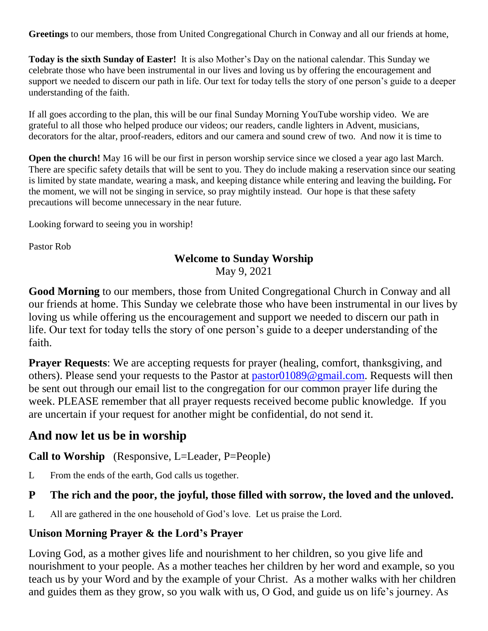**Greetings** to our members, those from United Congregational Church in Conway and all our friends at home,

**Today is the sixth Sunday of Easter!** It is also Mother's Day on the national calendar. This Sunday we celebrate those who have been instrumental in our lives and loving us by offering the encouragement and support we needed to discern our path in life. Our text for today tells the story of one person's guide to a deeper understanding of the faith.

If all goes according to the plan, this will be our final Sunday Morning YouTube worship video. We are grateful to all those who helped produce our videos; our readers, candle lighters in Advent, musicians, decorators for the altar, proof-readers, editors and our camera and sound crew of two. And now it is time to

**Open the church!** May 16 will be our first in person worship service since we closed a year ago last March. There are specific safety details that will be sent to you. They do include making a reservation since our seating is limited by state mandate, wearing a mask, and keeping distance while entering and leaving the building**.** For the moment, we will not be singing in service, so pray mightily instead. Our hope is that these safety precautions will become unnecessary in the near future.

Looking forward to seeing you in worship!

Pastor Rob

#### **Welcome to Sunday Worship**

May 9, 2021

**Good Morning** to our members, those from United Congregational Church in Conway and all our friends at home. This Sunday we celebrate those who have been instrumental in our lives by loving us while offering us the encouragement and support we needed to discern our path in life. Our text for today tells the story of one person's guide to a deeper understanding of the faith.

**Prayer Requests**: We are accepting requests for prayer (healing, comfort, thanksgiving, and others). Please send your requests to the Pastor at [pastor01089@gmail.com.](mailto:pastor01089@gmail.com) Requests will then be sent out through our email list to the congregation for our common prayer life during the week. PLEASE remember that all prayer requests received become public knowledge. If you are uncertain if your request for another might be confidential, do not send it.

# **And now let us be in worship**

**Call to Worship** (Responsive, L=Leader, P=People)

L From the ends of the earth, God calls us together.

#### **P The rich and the poor, the joyful, those filled with sorrow, the loved and the unloved.**

L All are gathered in the one household of God's love. Let us praise the Lord.

## **Unison Morning Prayer & the Lord's Prayer**

Loving God, as a mother gives life and nourishment to her children, so you give life and nourishment to your people. As a mother teaches her children by her word and example, so you teach us by your Word and by the example of your Christ. As a mother walks with her children and guides them as they grow, so you walk with us, O God, and guide us on life's journey. As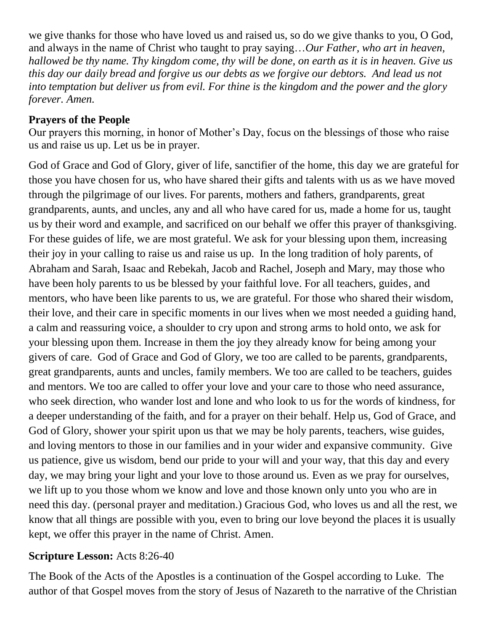we give thanks for those who have loved us and raised us, so do we give thanks to you, O God, and always in the name of Christ who taught to pray saying…*Our Father, who art in heaven, hallowed be thy name. Thy kingdom come, thy will be done, on earth as it is in heaven. Give us this day our daily bread and forgive us our debts as we forgive our debtors. And lead us not into temptation but deliver us from evil. For thine is the kingdom and the power and the glory forever. Amen.*

## **Prayers of the People**

Our prayers this morning, in honor of Mother's Day, focus on the blessings of those who raise us and raise us up. Let us be in prayer.

God of Grace and God of Glory, giver of life, sanctifier of the home, this day we are grateful for those you have chosen for us, who have shared their gifts and talents with us as we have moved through the pilgrimage of our lives. For parents, mothers and fathers, grandparents, great grandparents, aunts, and uncles, any and all who have cared for us, made a home for us, taught us by their word and example, and sacrificed on our behalf we offer this prayer of thanksgiving. For these guides of life, we are most grateful. We ask for your blessing upon them, increasing their joy in your calling to raise us and raise us up. In the long tradition of holy parents, of Abraham and Sarah, Isaac and Rebekah, Jacob and Rachel, Joseph and Mary, may those who have been holy parents to us be blessed by your faithful love. For all teachers, guides, and mentors, who have been like parents to us, we are grateful. For those who shared their wisdom, their love, and their care in specific moments in our lives when we most needed a guiding hand, a calm and reassuring voice, a shoulder to cry upon and strong arms to hold onto, we ask for your blessing upon them. Increase in them the joy they already know for being among your givers of care. God of Grace and God of Glory, we too are called to be parents, grandparents, great grandparents, aunts and uncles, family members. We too are called to be teachers, guides and mentors. We too are called to offer your love and your care to those who need assurance, who seek direction, who wander lost and lone and who look to us for the words of kindness, for a deeper understanding of the faith, and for a prayer on their behalf. Help us, God of Grace, and God of Glory, shower your spirit upon us that we may be holy parents, teachers, wise guides, and loving mentors to those in our families and in your wider and expansive community. Give us patience, give us wisdom, bend our pride to your will and your way, that this day and every day, we may bring your light and your love to those around us. Even as we pray for ourselves, we lift up to you those whom we know and love and those known only unto you who are in need this day. (personal prayer and meditation.) Gracious God, who loves us and all the rest, we know that all things are possible with you, even to bring our love beyond the places it is usually kept, we offer this prayer in the name of Christ. Amen.

## **Scripture Lesson:** Acts 8:26-40

The Book of the Acts of the Apostles is a continuation of the Gospel according to Luke. The author of that Gospel moves from the story of Jesus of Nazareth to the narrative of the Christian